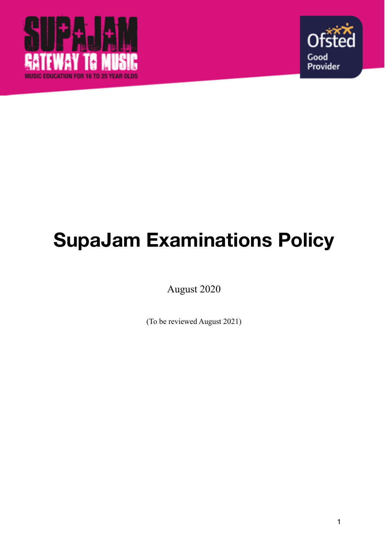



# **SupaJam Examinations Policy**

August 2020

(To be reviewed August 2021)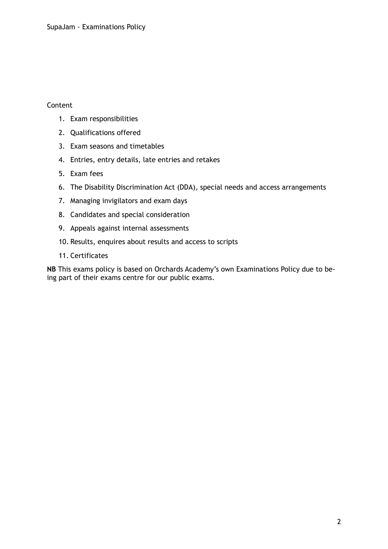## Content

- 1. Exam responsibilities
- 2. Qualifications offered
- 3. Exam seasons and timetables
- 4. Entries, entry details, late entries and retakes
- 5. Exam fees
- 6. The Disability Discrimination Act (DDA), special needs and access arrangements
- 7. Managing invigilators and exam days
- 8. Candidates and special consideration
- 9. Appeals against internal assessments
- 10. Results, enquires about results and access to scripts
- 11. Certificates

**NB** This exams policy is based on Orchards Academy's own Examinations Policy due to being part of their exams centre for our public exams.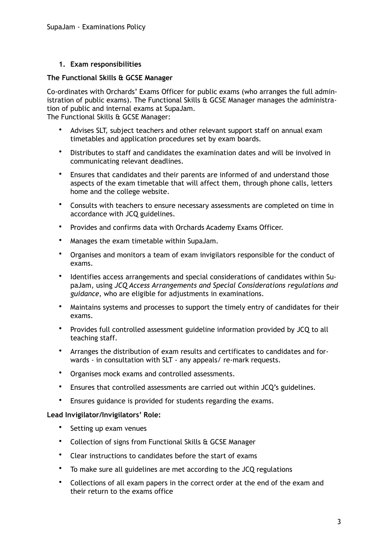# **1. Exam responsibilities**

#### **The Functional Skills & GCSE Manager**

Co-ordinates with Orchards' Exams Officer for public exams (who arranges the full administration of public exams). The Functional Skills & GCSE Manager manages the administration of public and internal exams at SupaJam.

The Functional Skills & GCSE Manager:

- Advises SLT, subject teachers and other relevant support staff on annual exam timetables and application procedures set by exam boards.
- Distributes to staff and candidates the examination dates and will be involved in communicating relevant deadlines.
- Ensures that candidates and their parents are informed of and understand those aspects of the exam timetable that will affect them, through phone calls, letters home and the college website.
- Consults with teachers to ensure necessary assessments are completed on time in accordance with JCQ guidelines.
- Provides and confirms data with Orchards Academy Exams Officer.
- Manages the exam timetable within SupaJam.
- Organises and monitors a team of exam invigilators responsible for the conduct of exams.
- Identifies access arrangements and special considerations of candidates within SupaJam, using *JCQ Access Arrangements and Special Considerations regulations and guidance,* who are eligible for adjustments in examinations.
- Maintains systems and processes to support the timely entry of candidates for their exams.
- Provides full controlled assessment guideline information provided by JCQ to all teaching staff.
- Arranges the distribution of exam results and certificates to candidates and forwards - in consultation with SLT - any appeals/ re-mark requests.
- Organises mock exams and controlled assessments.
- Ensures that controlled assessments are carried out within JCQ's guidelines.
- Ensures guidance is provided for students regarding the exams.

### **Lead Invigilator/Invigilators' Role:**

- Setting up exam venues
- Collection of signs from Functional Skills & GCSE Manager
- Clear instructions to candidates before the start of exams
- To make sure all guidelines are met according to the JCQ regulations
- Collections of all exam papers in the correct order at the end of the exam and their return to the exams office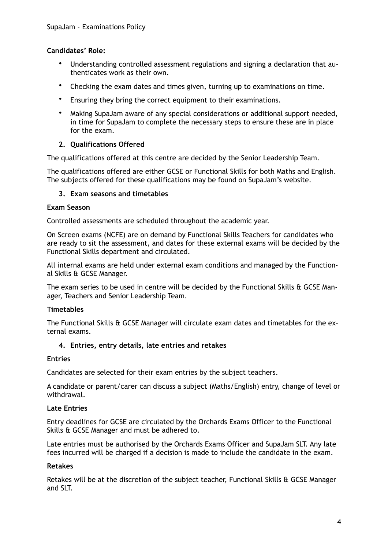# **Candidates' Role:**

- Understanding controlled assessment regulations and signing a declaration that authenticates work as their own.
- Checking the exam dates and times given, turning up to examinations on time.
- Ensuring they bring the correct equipment to their examinations.
- Making SupaJam aware of any special considerations or additional support needed, in time for SupaJam to complete the necessary steps to ensure these are in place for the exam.

# **2. Qualifications Offered**

The qualifications offered at this centre are decided by the Senior Leadership Team.

The qualifications offered are either GCSE or Functional Skills for both Maths and English. The subjects offered for these qualifications may be found on SupaJam's website.

### **3. Exam seasons and timetables**

#### **Exam Season**

Controlled assessments are scheduled throughout the academic year.

On Screen exams (NCFE) are on demand by Functional Skills Teachers for candidates who are ready to sit the assessment, and dates for these external exams will be decided by the Functional Skills department and circulated.

All internal exams are held under external exam conditions and managed by the Functional Skills & GCSE Manager.

The exam series to be used in centre will be decided by the Functional Skills & GCSE Manager, Teachers and Senior Leadership Team.

### **Timetables**

The Functional Skills & GCSE Manager will circulate exam dates and timetables for the external exams.

### **4. Entries, entry details, late entries and retakes**

### **Entries**

Candidates are selected for their exam entries by the subject teachers.

A candidate or parent/carer can discuss a subject (Maths/English) entry, change of level or withdrawal.

### **Late Entries**

Entry deadlines for GCSE are circulated by the Orchards Exams Officer to the Functional Skills & GCSE Manager and must be adhered to.

Late entries must be authorised by the Orchards Exams Officer and SupaJam SLT. Any late fees incurred will be charged if a decision is made to include the candidate in the exam.

### **Retakes**

Retakes will be at the discretion of the subject teacher, Functional Skills & GCSE Manager and SLT.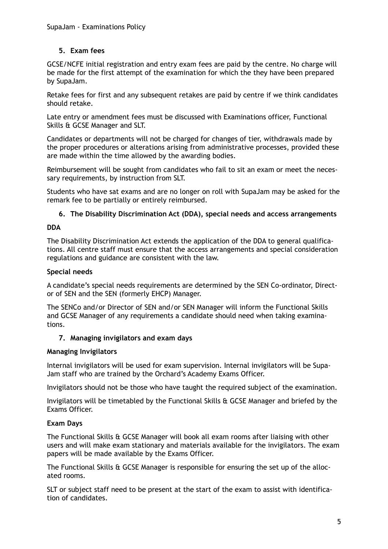# **5. Exam fees**

GCSE/NCFE initial registration and entry exam fees are paid by the centre. No charge will be made for the first attempt of the examination for which the they have been prepared by SupaJam.

Retake fees for first and any subsequent retakes are paid by centre if we think candidates should retake.

Late entry or amendment fees must be discussed with Examinations officer, Functional Skills & GCSE Manager and SLT.

Candidates or departments will not be charged for changes of tier, withdrawals made by the proper procedures or alterations arising from administrative processes, provided these are made within the time allowed by the awarding bodies.

Reimbursement will be sought from candidates who fail to sit an exam or meet the necessary requirements, by instruction from SLT.

Students who have sat exams and are no longer on roll with SupaJam may be asked for the remark fee to be partially or entirely reimbursed.

# **6. The Disability Discrimination Act (DDA), special needs and access arrangements**

### **DDA**

The Disability Discrimination Act extends the application of the DDA to general qualifications. All centre staff must ensure that the access arrangements and special consideration regulations and guidance are consistent with the law.

#### **Special needs**

A candidate's special needs requirements are determined by the SEN Co-ordinator, Director of SEN and the SEN (formerly EHCP) Manager.

The SENCo and/or Director of SEN and/or SEN Manager will inform the Functional Skills and GCSE Manager of any requirements a candidate should need when taking examinations.

### **7. Managing invigilators and exam days**

### **Managing Invigilators**

Internal invigilators will be used for exam supervision. Internal invigilators will be Supa-Jam staff who are trained by the Orchard's Academy Exams Officer.

Invigilators should not be those who have taught the required subject of the examination.

Invigilators will be timetabled by the Functional Skills & GCSE Manager and briefed by the Exams Officer.

### **Exam Days**

The Functional Skills & GCSE Manager will book all exam rooms after liaising with other users and will make exam stationary and materials available for the invigilators. The exam papers will be made available by the Exams Officer.

The Functional Skills & GCSE Manager is responsible for ensuring the set up of the allocated rooms.

SLT or subject staff need to be present at the start of the exam to assist with identification of candidates.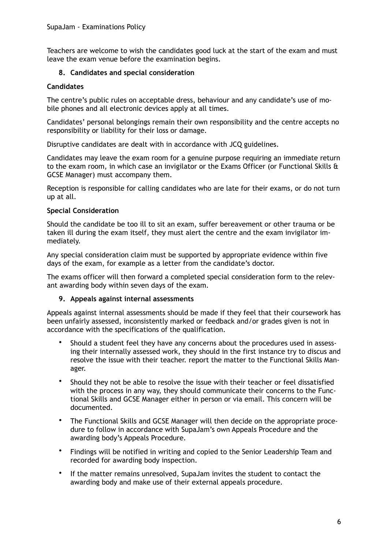Teachers are welcome to wish the candidates good luck at the start of the exam and must leave the exam venue before the examination begins.

# **8. Candidates and special consideration**

## **Candidates**

The centre's public rules on acceptable dress, behaviour and any candidate's use of mobile phones and all electronic devices apply at all times.

Candidates' personal belongings remain their own responsibility and the centre accepts no responsibility or liability for their loss or damage.

Disruptive candidates are dealt with in accordance with JCQ guidelines.

Candidates may leave the exam room for a genuine purpose requiring an immediate return to the exam room, in which case an invigilator or the Exams Officer (or Functional Skills & GCSE Manager) must accompany them.

Reception is responsible for calling candidates who are late for their exams, or do not turn up at all.

### **Special Consideration**

Should the candidate be too ill to sit an exam, suffer bereavement or other trauma or be taken ill during the exam itself, they must alert the centre and the exam invigilator immediately.

Any special consideration claim must be supported by appropriate evidence within five days of the exam, for example as a letter from the candidate's doctor.

The exams officer will then forward a completed special consideration form to the relevant awarding body within seven days of the exam.

### **9. Appeals against internal assessments**

Appeals against internal assessments should be made if they feel that their coursework has been unfairly assessed, inconsistently marked or feedback and/or grades given is not in accordance with the specifications of the qualification.

- Should a student feel they have any concerns about the procedures used in assessing their internally assessed work, they should in the first instance try to discus and resolve the issue with their teacher. report the matter to the Functional Skills Manager.
- Should they not be able to resolve the issue with their teacher or feel dissatisfied with the process in any way, they should communicate their concerns to the Functional Skills and GCSE Manager either in person or via email. This concern will be documented.
- The Functional Skills and GCSE Manager will then decide on the appropriate procedure to follow in accordance with SupaJam's own Appeals Procedure and the awarding body's Appeals Procedure.
- Findings will be notified in writing and copied to the Senior Leadership Team and recorded for awarding body inspection.
- If the matter remains unresolved, SupaJam invites the student to contact the awarding body and make use of their external appeals procedure.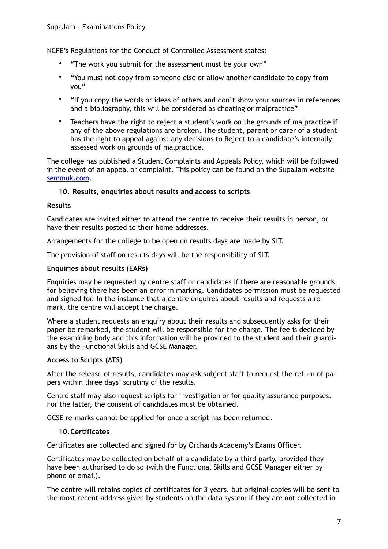NCFE's Regulations for the Conduct of Controlled Assessment states:

- "The work you submit for the assessment must be your own"
- "You must not copy from someone else or allow another candidate to copy from you"
- "If you copy the words or ideas of others and don't show your sources in references and a bibliography, this will be considered as cheating or malpractice"
- Teachers have the right to reject a student's work on the grounds of malpractice if any of the above regulations are broken. The student, parent or carer of a student has the right to appeal against any decisions to Reject to a candidate's internally assessed work on grounds of malpractice.

The college has published a Student Complaints and Appeals Policy, which will be followed in the event of an appeal or complaint. This policy can be found on the SupaJam website [semmuk.com.](http://semmuk.com)

### **10. Results, enquiries about results and access to scripts**

#### **Results**

Candidates are invited either to attend the centre to receive their results in person, or have their results posted to their home addresses.

Arrangements for the college to be open on results days are made by SLT.

The provision of staff on results days will be the responsibility of SLT.

#### **Enquiries about results (EARs)**

Enquiries may be requested by centre staff or candidates if there are reasonable grounds for believing there has been an error in marking. Candidates permission must be requested and signed for. In the instance that a centre enquires about results and requests a remark, the centre will accept the charge.

Where a student requests an enquiry about their results and subsequently asks for their paper be remarked, the student will be responsible for the charge. The fee is decided by the examining body and this information will be provided to the student and their guardians by the Functional Skills and GCSE Manager.

### **Access to Scripts (ATS)**

After the release of results, candidates may ask subject staff to request the return of papers within three days' scrutiny of the results.

Centre staff may also request scripts for investigation or for quality assurance purposes. For the latter, the consent of candidates must be obtained.

GCSE re-marks cannot be applied for once a script has been returned.

#### **10.Certificates**

Certificates are collected and signed for by Orchards Academy's Exams Officer.

Certificates may be collected on behalf of a candidate by a third party, provided they have been authorised to do so (with the Functional Skills and GCSE Manager either by phone or email).

The centre will retains copies of certificates for 3 years, but original copies will be sent to the most recent address given by students on the data system if they are not collected in